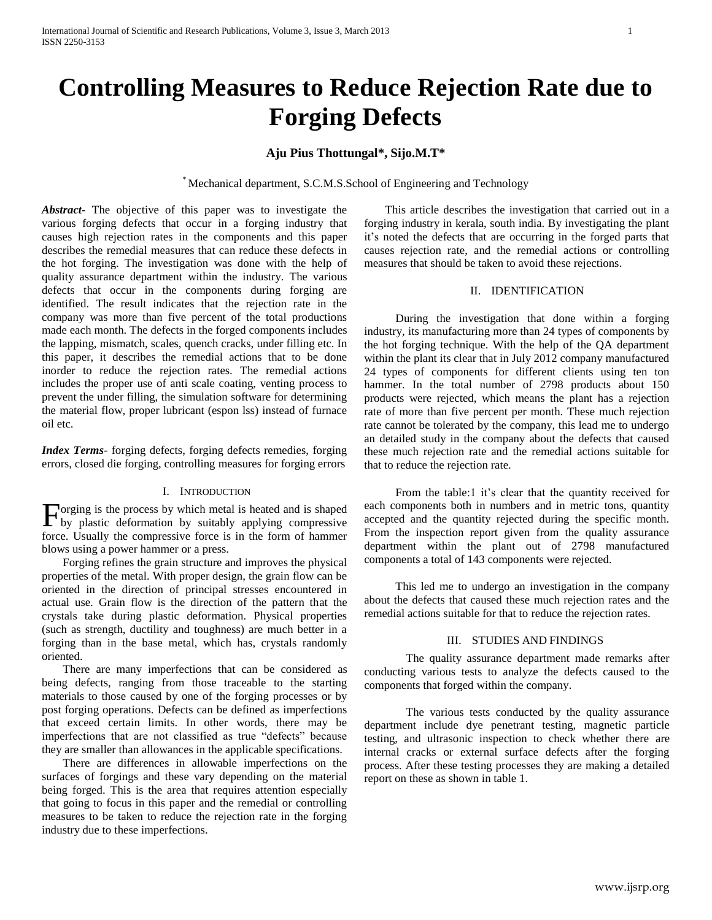# **Controlling Measures to Reduce Rejection Rate due to Forging Defects**

## **Aju Pius Thottungal\*, Sijo.M.T\***

\* Mechanical department, S.C.M.S.School of Engineering and Technology

*Abstract***-** The objective of this paper was to investigate the various forging defects that occur in a forging industry that causes high rejection rates in the components and this paper describes the remedial measures that can reduce these defects in the hot forging. The investigation was done with the help of quality assurance department within the industry. The various defects that occur in the components during forging are identified. The result indicates that the rejection rate in the company was more than five percent of the total productions made each month. The defects in the forged components includes the lapping, mismatch, scales, quench cracks, under filling etc. In this paper, it describes the remedial actions that to be done inorder to reduce the rejection rates. The remedial actions includes the proper use of anti scale coating, venting process to prevent the under filling, the simulation software for determining the material flow, proper lubricant (espon lss) instead of furnace oil etc.

*Index Terms*- forging defects, forging defects remedies, forging errors, closed die forging, controlling measures for forging errors

## I. INTRODUCTION

orging is the process by which metal is heated and is shaped Forging is the process by which metal is heated and is shaped<br>by plastic deformation by suitably applying compressive force. Usually the compressive force is in the form of hammer blows using a power hammer or a press.

Forging refines the grain structure and improves the physical properties of the metal. With proper design, the grain flow can be oriented in the direction of principal stresses encountered in actual use. Grain flow is the direction of the pattern that the crystals take during plastic deformation. Physical properties (such as strength, ductility and toughness) are much better in a forging than in the base metal, which has, crystals randomly oriented.

There are many imperfections that can be considered as being defects, ranging from those traceable to the starting materials to those caused by one of the forging processes or by post forging operations. Defects can be defined as imperfections that exceed certain limits. In other words, there may be imperfections that are not classified as true "defects" because they are smaller than allowances in the applicable specifications.

There are differences in allowable imperfections on the surfaces of forgings and these vary depending on the material being forged. This is the area that requires attention especially that going to focus in this paper and the remedial or controlling measures to be taken to reduce the rejection rate in the forging industry due to these imperfections.

This article describes the investigation that carried out in a forging industry in kerala, south india. By investigating the plant it"s noted the defects that are occurring in the forged parts that causes rejection rate, and the remedial actions or controlling measures that should be taken to avoid these rejections.

#### II. IDENTIFICATION

During the investigation that done within a forging industry, its manufacturing more than 24 types of components by the hot forging technique. With the help of the QA department within the plant its clear that in July 2012 company manufactured 24 types of components for different clients using ten ton hammer. In the total number of 2798 products about 150 products were rejected, which means the plant has a rejection rate of more than five percent per month. These much rejection rate cannot be tolerated by the company, this lead me to undergo an detailed study in the company about the defects that caused these much rejection rate and the remedial actions suitable for that to reduce the rejection rate.

From the table:1 it's clear that the quantity received for each components both in numbers and in metric tons, quantity accepted and the quantity rejected during the specific month. From the inspection report given from the quality assurance department within the plant out of 2798 manufactured components a total of 143 components were rejected.

This led me to undergo an investigation in the company about the defects that caused these much rejection rates and the remedial actions suitable for that to reduce the rejection rates.

#### III. STUDIES AND FINDINGS

The quality assurance department made remarks after conducting various tests to analyze the defects caused to the components that forged within the company.

The various tests conducted by the quality assurance department include dye penetrant testing, magnetic particle testing, and ultrasonic inspection to check whether there are internal cracks or external surface defects after the forging process. After these testing processes they are making a detailed report on these as shown in table 1.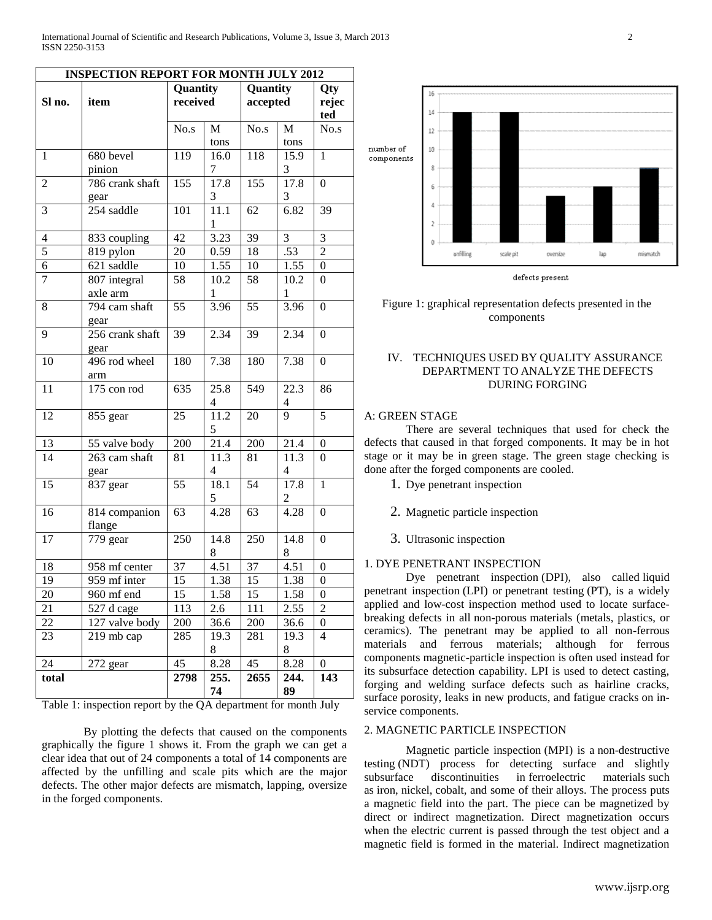## **INSPECTION REPORT FOR MONTH JULY 2012**

| Sl no.         | item                    | Quantity<br>received |                   | Quantity<br>accepted |                        | Qty<br>rejec     |
|----------------|-------------------------|----------------------|-------------------|----------------------|------------------------|------------------|
|                |                         |                      |                   |                      |                        | ted              |
|                |                         | No.s                 | $\mathbf{M}$      | No.s                 | М                      | No.s             |
|                |                         |                      | tons              |                      | tons                   |                  |
| $\mathbf{1}$   | 680 bevel               | 119                  | 16.0              | 118                  | 15.9                   | $\mathbf{1}$     |
|                | pinion                  |                      | 7                 |                      | 3                      |                  |
| $\overline{2}$ | 786 crank shaft         | 155                  | 17.8              | $\overline{155}$     | 17.8                   | $\boldsymbol{0}$ |
|                | gear                    |                      | 3                 |                      | 3                      |                  |
| 3              | 254 saddle              | 101                  | $\overline{11.1}$ | $\overline{62}$      | 6.82                   | 39               |
|                |                         |                      | 1                 |                      |                        |                  |
| $\overline{4}$ | 833 coupling            | 42                   | 3.23              | $\overline{39}$      | $\overline{3}$         | $\overline{3}$   |
| 5              | 819 pylon               | $\overline{20}$      | 0.59              | $\overline{18}$      | .53                    | $\overline{2}$   |
| 6              | $\overline{621}$ saddle | 10                   | 1.55              | 10                   | 1.55                   | $\boldsymbol{0}$ |
| $\overline{7}$ | 807 integral            | 58                   | 10.2              | 58                   | 10.2                   | $\boldsymbol{0}$ |
|                | axle arm                |                      | 1                 |                      | 1                      |                  |
| 8              | 794 cam shaft<br>gear   | 55                   | 3.96              | $\overline{55}$      | 3.96                   | $\theta$         |
| 9              | 256 crank shaft<br>gear | 39                   | 2.34              | 39                   | 2.34                   | $\mathbf{0}$     |
| 10             | 496 rod wheel<br>arm    | 180                  | 7.38              | 180                  | 7.38                   | $\boldsymbol{0}$ |
| 11             | $175$ con rod           | 635                  | 25.8<br>4         | 549                  | 22.3<br>$\overline{4}$ | 86               |
| 12             | 855 gear                | 25                   | 11.2<br>5         | 20                   | $\overline{9}$         | $\overline{5}$   |
| 13             | 55 valve body           | 200                  | 21.4              | 200                  | 21.4                   | $\boldsymbol{0}$ |
| 14             | 263 cam shaft           | 81                   | 11.3              | 81                   | 11.3                   | $\Omega$         |
|                | gear                    |                      | $\overline{4}$    |                      | $\overline{4}$         |                  |
| 15             | 837 gear                | 55                   | 18.1<br>5         | 54                   | 17.8<br>$\overline{c}$ | $\mathbf{1}$     |
| 16             | 814 companion<br>flange | 63                   | 4.28              | 63                   | 4.28                   | $\boldsymbol{0}$ |
| 17             | 779 gear                | 250                  | 14.8<br>8         | 250                  | 14.8<br>8              | $\boldsymbol{0}$ |
| 18             | 958 mf center           | 37                   | 4.51              | 37                   | 4.51                   | $\theta$         |
| 19             | 959 mf inter            | 15                   | 1.38              | 15                   | 1.38                   | $\boldsymbol{0}$ |
| 20             | 960 mf end              | 15                   | 1.58              | 15                   | 1.58                   | $\boldsymbol{0}$ |
| 21             | 527 d cage              | 113                  | 2.6               | 111                  | 2.55                   | 2                |
| 22             | 127 valve body          | 200                  | 36.6              | 200                  | 36.6                   | $\boldsymbol{0}$ |
| 23             | 219 mb cap              | 285                  | 19.3<br>8         | 281                  | 19.3<br>8              | 4                |
| 24             | 272 gear                | 45                   | 8.28              | $\overline{45}$      | 8.28                   | $\boldsymbol{0}$ |
| total          |                         | 2798                 | 255.<br>74        | 2655                 | 244.<br>89             | 143              |

Table 1: inspection report by the QA department for month July

By plotting the defects that caused on the components graphically the figure 1 shows it. From the graph we can get a clear idea that out of 24 components a total of 14 components are affected by the unfilling and scale pits which are the major defects. The other major defects are mismatch, lapping, oversize in the forged components.



Figure 1: graphical representation defects presented in the components

## IV. TECHNIQUES USED BY QUALITY ASSURANCE DEPARTMENT TO ANALYZE THE DEFECTS DURING FORGING

## A: GREEN STAGE

There are several techniques that used for check the defects that caused in that forged components. It may be in hot stage or it may be in green stage. The green stage checking is done after the forged components are cooled.

- 1. Dye penetrant inspection
- 2. Magnetic particle inspection
- 3. Ultrasonic inspection

#### 1. DYE PENETRANT INSPECTION

Dye penetrant inspection (DPI), also called liquid penetrant inspection (LPI) or penetrant testing (PT), is a widely applied and low-cost inspection method used to locate surfacebreaking defects in all [non-porous](http://en.wikipedia.org/wiki/Porosity) materials (metals, plastics, or ceramics). The penetrant may be applied to all non-ferrous materials and ferrous materials; although for ferrous components [magnetic-particle inspection](http://en.wikipedia.org/wiki/Magnetic-particle_inspection) is often used instead for its subsurface detection capability. LPI is used to detect casting, forging and welding surface defects such as hairline cracks, surface [porosity,](http://en.wikipedia.org/wiki/Porosity) leaks in new products, and [fatigue cracks](http://en.wikipedia.org/wiki/Fatigue_crack) on inservice components.

#### 2. MAGNETIC PARTICLE INSPECTION

Magnetic particle inspection (MPI) is a [non-destructive](http://en.wikipedia.org/wiki/Non-destructive_testing)  [testing](http://en.wikipedia.org/wiki/Non-destructive_testing) (NDT) process for detecting surface and slightly subsurface discontinuities in [ferroelectric materials](http://en.wikipedia.org/wiki/Ferroelectricity) such as [iron,](http://en.wikipedia.org/wiki/Iron) [nickel,](http://en.wikipedia.org/wiki/Nickel) [cobalt,](http://en.wikipedia.org/wiki/Cobalt) and some of their [alloys.](http://en.wikipedia.org/wiki/Alloys) The process puts a magnetic field into the part. The piece can be magnetized by direct or indirect magnetization. Direct magnetization occurs when the electric current is passed through the test object and a magnetic field is formed in the material. Indirect magnetization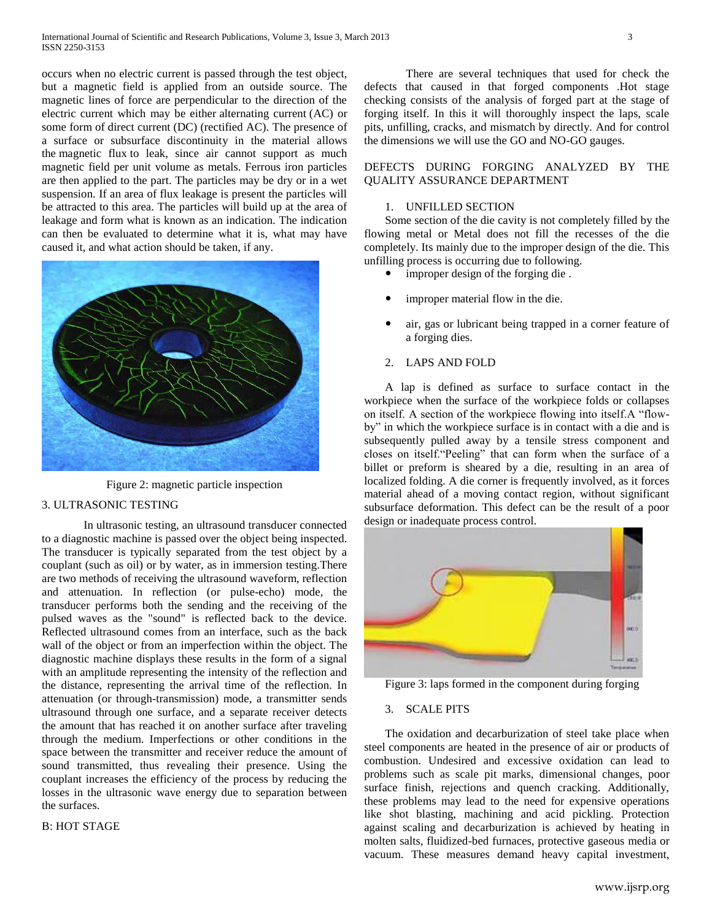occurs when no electric current is passed through the test object, but a magnetic field is applied from an outside source. The magnetic lines of force are perpendicular to the direction of the electric current which may be either [alternating current](http://en.wikipedia.org/wiki/Alternating_current) (AC) or some form of [direct current](http://en.wikipedia.org/wiki/Direct_current) (DC) (rectified AC). The presence of a surface or subsurface discontinuity in the material allows the [magnetic flux](http://en.wikipedia.org/wiki/Magnetic_flux) to leak, since air cannot support as much magnetic field per unit volume as metals. Ferrous iron particles are then applied to the part. The particles may be dry or in a wet suspension. If an area of flux leakage is present the particles will be attracted to this area. The particles will build up at the area of leakage and form what is known as an indication. The indication can then be evaluated to determine what it is, what may have caused it, and what action should be taken, if any.



Figure 2: magnetic particle inspection

## 3. ULTRASONIC TESTING

In ultrasonic testing, an ultrasound transducer connected to a diagnostic machine is passed over the object being inspected. The transducer is typically separated from the test object by a couplant (such as oil) or by water, as in immersion testing.There are two methods of receiving the ultrasound waveform, reflection and attenuation. In reflection (or pulse-echo) mode, the transducer performs both the sending and the receiving of the pulsed waves as the "sound" is reflected back to the device. Reflected ultrasound comes from an interface, such as the back wall of the object or from an imperfection within the object. The diagnostic machine displays these results in the form of a signal with an amplitude representing the intensity of the reflection and the distance, representing the arrival time of the reflection. In attenuation (or through-transmission) mode, a transmitter sends ultrasound through one surface, and a separate receiver detects the amount that has reached it on another surface after traveling through the medium. Imperfections or other conditions in the space between the transmitter and receiver reduce the amount of sound transmitted, thus revealing their presence. Using the couplant increases the efficiency of the process by reducing the losses in the ultrasonic wave energy due to separation between the surfaces.

## B: HOT STAGE

There are several techniques that used for check the defects that caused in that forged components .Hot stage checking consists of the analysis of forged part at the stage of forging itself. In this it will thoroughly inspect the laps, scale pits, unfilling, cracks, and mismatch by directly. And for control the dimensions we will use the GO and NO-GO gauges.

## DEFECTS DURING FORGING ANALYZED BY THE QUALITY ASSURANCE DEPARTMENT

## 1. UNFILLED SECTION

Some section of the die cavity is not completely filled by the flowing metal or Metal does not fill the recesses of the die completely. Its mainly due to the improper design of the die. This unfilling process is occurring due to following.

- improper design of the forging die .
- improper material flow in the die.
- air, gas or lubricant being trapped in a corner feature of a forging dies.

#### 2. LAPS AND FOLD

A lap is defined as surface to surface contact in the workpiece when the surface of the workpiece folds or collapses on itself. A section of the workpiece flowing into itself.A "flowby" in which the workpiece surface is in contact with a die and is subsequently pulled away by a tensile stress component and closes on itself."Peeling" that can form when the surface of a billet or preform is sheared by a die, resulting in an area of localized folding. A die corner is frequently involved, as it forces material ahead of a moving contact region, without significant subsurface deformation. This defect can be the result of a poor design or inadequate process control.



Figure 3: laps formed in the component during forging

## 3. SCALE PITS

The oxidation and decarburization of steel take place when steel components are heated in the presence of air or products of combustion. Undesired and excessive oxidation can lead to problems such as scale pit marks, dimensional changes, poor surface finish, rejections and quench cracking. Additionally, these problems may lead to the need for expensive operations like shot blasting, machining and acid pickling. Protection against scaling and decarburization is achieved by heating in molten salts, fluidized-bed furnaces, protective gaseous media or vacuum. These measures demand heavy capital investment,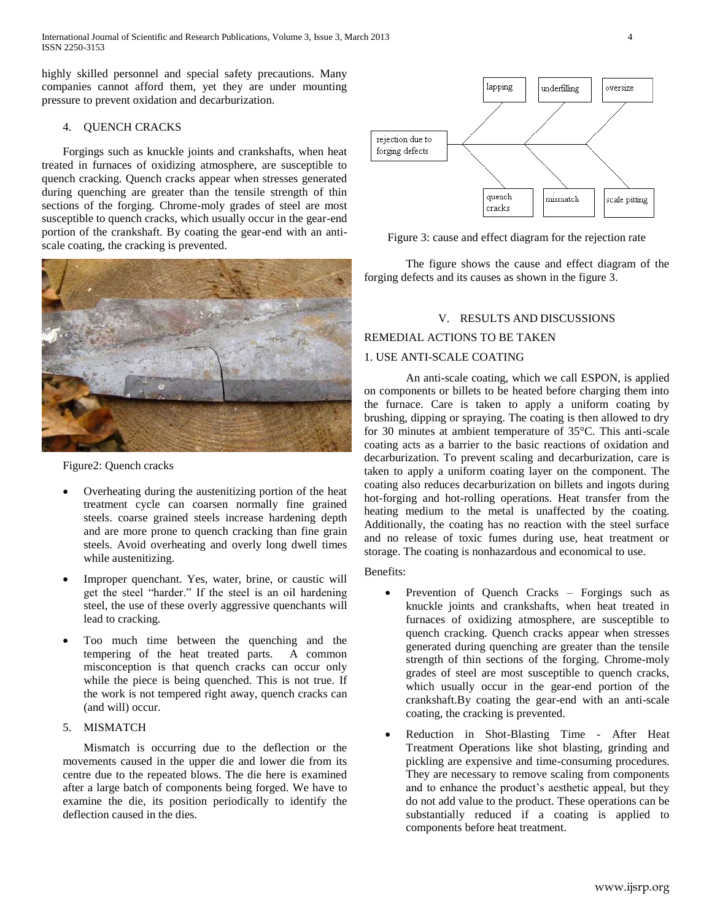International Journal of Scientific and Research Publications, Volume 3, Issue 3, March 2013 4 ISSN 2250-3153

highly skilled personnel and special safety precautions. Many companies cannot afford them, yet they are under mounting pressure to prevent oxidation and decarburization.

## 4. QUENCH CRACKS

Forgings such as knuckle joints and crankshafts, when heat treated in furnaces of oxidizing atmosphere, are susceptible to quench cracking. Quench cracks appear when stresses generated during quenching are greater than the tensile strength of thin sections of the forging. Chrome-moly grades of steel are most susceptible to quench cracks, which usually occur in the gear-end portion of the crankshaft. By coating the gear-end with an antiscale coating, the cracking is prevented.

![](_page_3_Picture_4.jpeg)

Figure2: Quench cracks

- Overheating during the austenitizing portion of the heat treatment cycle can coarsen normally fine grained steels. coarse grained steels increase hardening depth and are more prone to quench cracking than fine grain steels. Avoid overheating and overly long dwell times while austenitizing.
- Improper quenchant. Yes, water, brine, or caustic will get the steel "harder." If the steel is an oil hardening steel, the use of these overly aggressive quenchants will lead to cracking.
- Too much time between the quenching and the tempering of the heat treated parts. A common misconception is that quench cracks can occur only while the piece is being quenched. This is not true. If the work is not tempered right away, quench cracks can (and will) occur.

## 5. MISMATCH

Mismatch is occurring due to the deflection or the movements caused in the upper die and lower die from its centre due to the repeated blows. The die here is examined after a large batch of components being forged. We have to examine the die, its position periodically to identify the deflection caused in the dies.

![](_page_3_Figure_11.jpeg)

Figure 3: cause and effect diagram for the rejection rate

The figure shows the cause and effect diagram of the forging defects and its causes as shown in the figure 3.

## V. RESULTS AND DISCUSSIONS

#### REMEDIAL ACTIONS TO BE TAKEN

#### 1. USE ANTI-SCALE COATING

An anti-scale coating, which we call ESPON, is applied on components or billets to be heated before charging them into the furnace. Care is taken to apply a uniform coating by brushing, dipping or spraying. The coating is then allowed to dry for 30 minutes at ambient temperature of 35°C. This anti-scale coating acts as a barrier to the basic reactions of oxidation and decarburization. To prevent scaling and decarburization, care is taken to apply a uniform coating layer on the component. The coating also reduces decarburization on billets and ingots during hot-forging and hot-rolling operations. Heat transfer from the heating medium to the metal is unaffected by the coating. Additionally, the coating has no reaction with the steel surface and no release of toxic fumes during use, heat treatment or storage. The coating is nonhazardous and economical to use.

Benefits:

- Prevention of Quench Cracks Forgings such as knuckle joints and crankshafts, when heat treated in furnaces of oxidizing atmosphere, are susceptible to quench cracking. Quench cracks appear when stresses generated during quenching are greater than the tensile strength of thin sections of the forging. Chrome-moly grades of steel are most susceptible to quench cracks, which usually occur in the gear-end portion of the crankshaft.By coating the gear-end with an anti-scale coating, the cracking is prevented.
- Reduction in Shot-Blasting Time After Heat Treatment Operations like shot blasting, grinding and pickling are expensive and time-consuming procedures. They are necessary to remove scaling from components and to enhance the product's aesthetic appeal, but they do not add value to the product. These operations can be substantially reduced if a coating is applied to components before heat treatment.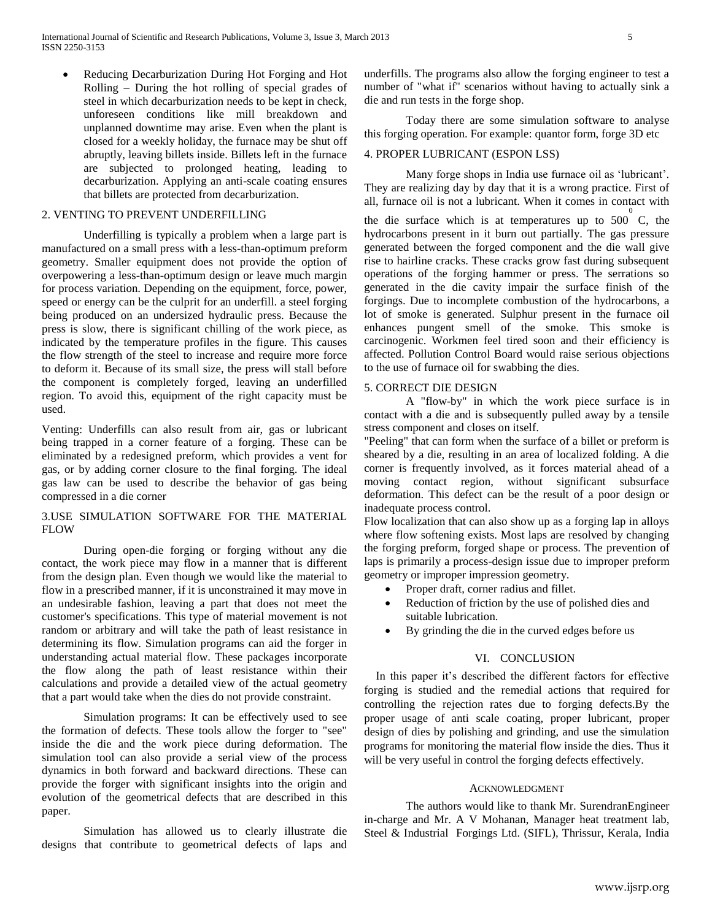Reducing Decarburization During Hot Forging and Hot Rolling – During the hot rolling of special grades of steel in which decarburization needs to be kept in check, unforeseen conditions like mill breakdown and unplanned downtime may arise. Even when the plant is closed for a weekly holiday, the furnace may be shut off abruptly, leaving billets inside. Billets left in the furnace are subjected to prolonged heating, leading to decarburization. Applying an anti-scale coating ensures that billets are protected from decarburization.

## 2. VENTING TO PREVENT UNDERFILLING

Underfilling is typically a problem when a large part is manufactured on a small press with a less-than-optimum preform geometry. Smaller equipment does not provide the option of overpowering a less-than-optimum design or leave much margin for process variation. Depending on the equipment, force, power, speed or energy can be the culprit for an underfill. a steel forging being produced on an undersized hydraulic press. Because the press is slow, there is significant chilling of the work piece, as indicated by the temperature profiles in the figure. This causes the flow strength of the steel to increase and require more force to deform it. Because of its small size, the press will stall before the component is completely forged, leaving an underfilled region. To avoid this, equipment of the right capacity must be used.

Venting: Underfills can also result from air, gas or lubricant being trapped in a corner feature of a forging. These can be eliminated by a redesigned preform, which provides a vent for gas, or by adding corner closure to the final forging. The ideal gas law can be used to describe the behavior of gas being compressed in a die corner

## 3.USE SIMULATION SOFTWARE FOR THE MATERIAL FLOW

During open-die forging or forging without any die contact, the work piece may flow in a manner that is different from the design plan. Even though we would like the material to flow in a prescribed manner, if it is unconstrained it may move in an undesirable fashion, leaving a part that does not meet the customer's specifications. This type of material movement is not random or arbitrary and will take the path of least resistance in determining its flow. Simulation programs can aid the forger in understanding actual material flow. These packages incorporate the flow along the path of least resistance within their calculations and provide a detailed view of the actual geometry that a part would take when the dies do not provide constraint.

Simulation programs: It can be effectively used to see the formation of defects. These tools allow the forger to "see" inside the die and the work piece during deformation. The simulation tool can also provide a serial view of the process dynamics in both forward and backward directions. These can provide the forger with significant insights into the origin and evolution of the geometrical defects that are described in this paper.

Simulation has allowed us to clearly illustrate die designs that contribute to geometrical defects of laps and

underfills. The programs also allow the forging engineer to test a number of "what if" scenarios without having to actually sink a die and run tests in the forge shop.

Today there are some simulation software to analyse this forging operation. For example: quantor form, forge 3D etc

## 4. PROPER LUBRICANT (ESPON LSS)

Many forge shops in India use furnace oil as "lubricant". They are realizing day by day that it is a wrong practice. First of all, furnace oil is not a lubricant. When it comes in contact with

the die surface which is at temperatures up to  $500^{\circ}$  C, the hydrocarbons present in it burn out partially. The gas pressure generated between the forged component and the die wall give rise to hairline cracks. These cracks grow fast during subsequent operations of the forging hammer or press. The serrations so generated in the die cavity impair the surface finish of the forgings. Due to incomplete combustion of the hydrocarbons, a lot of smoke is generated. Sulphur present in the furnace oil enhances pungent smell of the smoke. This smoke is carcinogenic. Workmen feel tired soon and their efficiency is affected. Pollution Control Board would raise serious objections to the use of furnace oil for swabbing the dies.

## 5. CORRECT DIE DESIGN

A "flow-by" in which the work piece surface is in contact with a die and is subsequently pulled away by a tensile stress component and closes on itself.

"Peeling" that can form when the surface of a billet or preform is sheared by a die, resulting in an area of localized folding. A die corner is frequently involved, as it forces material ahead of a moving contact region, without significant subsurface deformation. This defect can be the result of a poor design or inadequate process control.

Flow localization that can also show up as a forging lap in alloys where flow softening exists. Most laps are resolved by changing the forging preform, forged shape or process. The prevention of laps is primarily a process-design issue due to improper preform geometry or improper impression geometry.

- Proper draft, corner radius and fillet.
- Reduction of friction by the use of polished dies and suitable lubrication.
- By grinding the die in the curved edges before us

## VI. CONCLUSION

In this paper it's described the different factors for effective forging is studied and the remedial actions that required for controlling the rejection rates due to forging defects.By the proper usage of anti scale coating, proper lubricant, proper design of dies by polishing and grinding, and use the simulation programs for monitoring the material flow inside the dies. Thus it will be very useful in control the forging defects effectively.

#### ACKNOWLEDGMENT

The authors would like to thank Mr. SurendranEngineer in-charge and Mr. A V Mohanan, Manager heat treatment lab, Steel & Industrial Forgings Ltd. (SIFL), Thrissur, Kerala, India